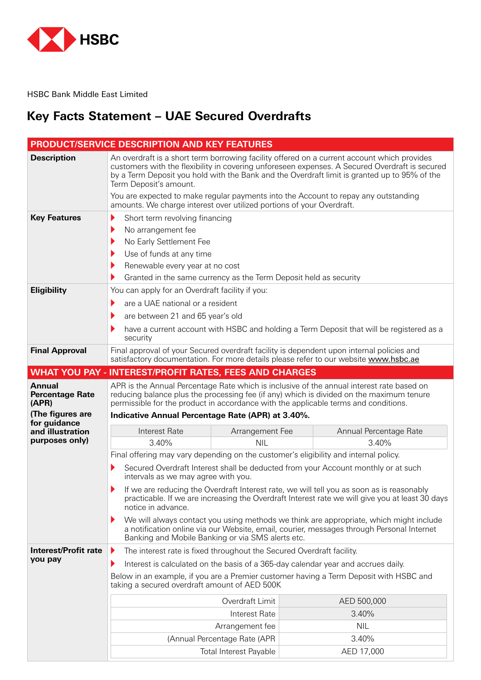

HSBC Bank Middle East Limited

## **Key Facts Statement - UAE Secured Overdrafts**

|                                                                      | <b>PRODUCT/SERVICE DESCRIPTION AND KEY FEATURES</b>                                                                                                                                                                           |                               |                                                                                                                                                                                                                                                                                                                                                                                      |
|----------------------------------------------------------------------|-------------------------------------------------------------------------------------------------------------------------------------------------------------------------------------------------------------------------------|-------------------------------|--------------------------------------------------------------------------------------------------------------------------------------------------------------------------------------------------------------------------------------------------------------------------------------------------------------------------------------------------------------------------------------|
| <b>Description</b>                                                   | Term Deposit's amount.                                                                                                                                                                                                        |                               | An overdraft is a short term borrowing facility offered on a current account which provides<br>customers with the flexibility in covering unforeseen expenses. A Secured Overdraft is secured<br>by a Term Deposit you hold with the Bank and the Overdraft limit is granted up to 95% of the<br>You are expected to make regular payments into the Account to repay any outstanding |
|                                                                      | amounts. We charge interest over utilized portions of your Overdraft.                                                                                                                                                         |                               |                                                                                                                                                                                                                                                                                                                                                                                      |
| <b>Key Features</b>                                                  | Short term revolving financing<br>▶<br>No arrangement fee<br>No Early Settlement Fee<br>Use of funds at any time<br>Renewable every year at no cost<br>Granted in the same currency as the Term Deposit held as security<br>▶ |                               |                                                                                                                                                                                                                                                                                                                                                                                      |
| <b>Eligibility</b>                                                   | You can apply for an Overdraft facility if you:                                                                                                                                                                               |                               |                                                                                                                                                                                                                                                                                                                                                                                      |
|                                                                      | are a UAE national or a resident<br>▶                                                                                                                                                                                         |                               |                                                                                                                                                                                                                                                                                                                                                                                      |
|                                                                      | are between 21 and 65 year's old                                                                                                                                                                                              |                               |                                                                                                                                                                                                                                                                                                                                                                                      |
|                                                                      | security                                                                                                                                                                                                                      |                               | have a current account with HSBC and holding a Term Deposit that will be registered as a                                                                                                                                                                                                                                                                                             |
| <b>Final Approval</b>                                                |                                                                                                                                                                                                                               |                               | Final approval of your Secured overdraft facility is dependent upon internal policies and<br>satisfactory documentation. For more details please refer to our website www.hsbc.ae                                                                                                                                                                                                    |
|                                                                      | <b>WHAT YOU PAY - INTEREST/PROFIT RATES, FEES AND CHARGES</b>                                                                                                                                                                 |                               |                                                                                                                                                                                                                                                                                                                                                                                      |
| <b>Annual</b><br><b>Percentage Rate</b><br>(APR)<br>(The figures are | Indicative Annual Percentage Rate (APR) at 3.40%.                                                                                                                                                                             |                               | APR is the Annual Percentage Rate which is inclusive of the annual interest rate based on<br>reducing balance plus the processing fee (if any) which is divided on the maximum tenure<br>permissible for the product in accordance with the applicable terms and conditions.                                                                                                         |
| for guidance<br>and illustration                                     | Interest Rate                                                                                                                                                                                                                 | Arrangement Fee               | Annual Percentage Rate                                                                                                                                                                                                                                                                                                                                                               |
| purposes only)                                                       | 3.40%                                                                                                                                                                                                                         | <b>NIL</b>                    | 3.40%                                                                                                                                                                                                                                                                                                                                                                                |
|                                                                      |                                                                                                                                                                                                                               |                               | Final offering may vary depending on the customer's eligibility and internal policy.                                                                                                                                                                                                                                                                                                 |
|                                                                      | intervals as we may agree with you.                                                                                                                                                                                           |                               | Secured Overdraft Interest shall be deducted from your Account monthly or at such                                                                                                                                                                                                                                                                                                    |
|                                                                      | ▶<br>notice in advance.                                                                                                                                                                                                       |                               | If we are reducing the Overdraft Interest rate, we will tell you as soon as is reasonably<br>practicable. If we are increasing the Overdraft Interest rate we will give you at least 30 days                                                                                                                                                                                         |
|                                                                      | Banking and Mobile Banking or via SMS alerts etc.                                                                                                                                                                             |                               | We will always contact you using methods we think are appropriate, which might include<br>a notification online via our Website, email, courier, messages through Personal Internet                                                                                                                                                                                                  |
| <b>Interest/Profit rate</b>                                          | The interest rate is fixed throughout the Secured Overdraft facility.                                                                                                                                                         |                               |                                                                                                                                                                                                                                                                                                                                                                                      |
| you pay                                                              |                                                                                                                                                                                                                               |                               | Interest is calculated on the basis of a 365-day calendar year and accrues daily.                                                                                                                                                                                                                                                                                                    |
|                                                                      | taking a secured overdraft amount of AED 500K                                                                                                                                                                                 |                               | Below in an example, if you are a Premier customer having a Term Deposit with HSBC and                                                                                                                                                                                                                                                                                               |
|                                                                      |                                                                                                                                                                                                                               | Overdraft Limit               | AED 500,000                                                                                                                                                                                                                                                                                                                                                                          |
|                                                                      |                                                                                                                                                                                                                               | Interest Rate                 | 3.40%                                                                                                                                                                                                                                                                                                                                                                                |
|                                                                      |                                                                                                                                                                                                                               | Arrangement fee               | <b>NIL</b>                                                                                                                                                                                                                                                                                                                                                                           |
|                                                                      |                                                                                                                                                                                                                               | (Annual Percentage Rate (APR  | 3.40%                                                                                                                                                                                                                                                                                                                                                                                |
|                                                                      |                                                                                                                                                                                                                               | <b>Total Interest Payable</b> | AED 17,000                                                                                                                                                                                                                                                                                                                                                                           |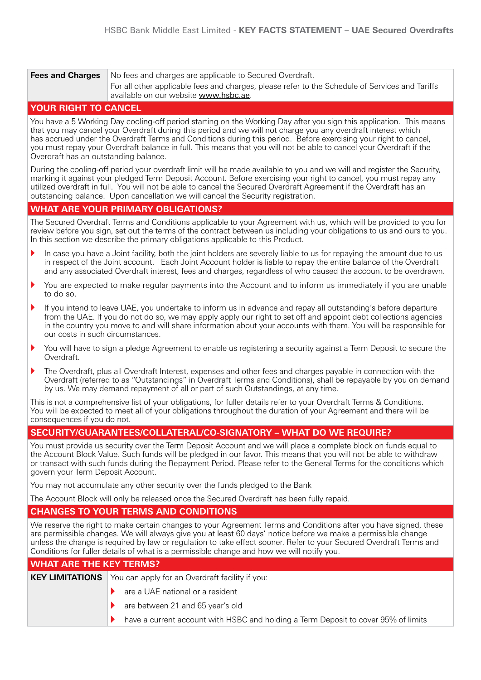| <b>Fees and Charges</b> | No fees and charges are applicable to Secured Overdraft.                                                                                 |
|-------------------------|------------------------------------------------------------------------------------------------------------------------------------------|
|                         | For all other applicable fees and charges, please refer to the Schedule of Services and Tariffs<br>available on our website www.hsbc.ae. |

#### **YOUR RIGHT TO CANCEL**

You have a 5 Working Day cooling-off period starting on the Working Day after you sign this application. This means that you may cancel your Overdraft during this period and we will not charge you any overdraft interest which has accrued under the Overdraft Terms and Conditions during this period. Before exercising your right to cancel, you must repay your Overdraft balance in full. This means that you will not be able to cancel your Overdraft if the Overdraft has an outstanding balance.

During the cooling-off period your overdraft limit will be made available to you and we will and register the Security, marking it against your pledged Term Deposit Account. Before exercising your right to cancel, you must repay any utilized overdraft in full. You will not be able to cancel the Secured Overdraft Agreement if the Overdraft has an outstanding balance. Upon cancellation we will cancel the Security registration.

#### **WHAT ARE YOUR PRIMARY OBLIGATIONS?**

The Secured Overdraft Terms and Conditions applicable to your Agreement with us, which will be provided to you for review before you sign, set out the terms of the contract between us including your obligations to us and ours to you. In this section we describe the primary obligations applicable to this Product.

- In case you have a Joint facility, both the joint holders are severely liable to us for repaying the amount due to us in respect of the Joint account. Each Joint Account holder is liable to repay the entire balance of the Overdraft and any associated Overdraft interest, fees and charges, regardless of who caused the account to be overdrawn,
- You are expected to make regular payments into the Account and to inform us immediately if you are unable to do so.
- If you intend to leave UAE, you undertake to inform us in advance and repay all outstanding's before departure from the UAE. If you do not do so, we may apply apply our right to set off and appoint debt collections agencies in the country you move to and will share information about your accounts with them. You will be responsible for our costs in such circumstances.
- You will have to sign a pledge Agreement to enable us registering a security against a Term Deposit to secure the .Overdraft
- The Overdraft, plus all Overdraft Interest, expenses and other fees and charges payable in connection with the Overdraft (referred to as "Outstandings" in Overdraft Terms and Conditions), shall be repayable by you on demand by us. We may demand repayment of all or part of such Outstandings, at any time.

This is not a comprehensive list of your obligations, for fuller details refer to your Overdraft Terms & Conditions. You will be expected to meet all of your obligations throughout the duration of your Agreement and there will be consequences if you do not.

#### **SECURITY/GUARANTEES/COLLATERAL/CO-SIGNATORY – WHAT DO WE REQUIRE?**

You must provide us security over the Term Deposit Account and we will place a complete block on funds equal to the Account Block Value. Such funds will be pledged in our favor. This means that you will not be able to withdraw or transact with such funds during the Repayment Period. Please refer to the General Terms for the conditions which govern your Term Deposit Account.

You may not accumulate any other security over the funds pledged to the Bank

The Account Block will only be released once the Secured Overdraft has been fully repaid.

#### **CHANGES TO YOUR TERMS AND CONDITIONS**

We reserve the right to make certain changes to your Agreement Terms and Conditions after you have signed, these are permissible changes. We will always give you at least 60 days' notice before we make a permissible change unless the change is required by law or regulation to take effect sooner. Refer to your Secured Overdraft Terms and Conditions for fuller details of what is a permissible change and how we will notify you.

| <b>WHAT ARE THE KEY TERMS?</b> |                                                                                    |
|--------------------------------|------------------------------------------------------------------------------------|
|                                | <b>KEY LIMITATIONS</b> You can apply for an Overdraft facility if you:             |
|                                | are a UAE national or a resident                                                   |
|                                | are between 21 and 65 year's old                                                   |
|                                | have a current account with HSBC and holding a Term Deposit to cover 95% of limits |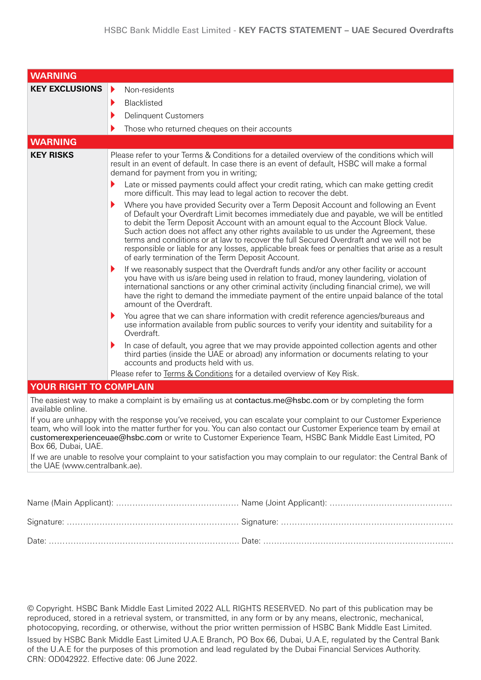| <b>WARNING</b>                |                                                                                                                                                                                                                                                                                                                                                                                                                                                                                                                                                                                                                     |
|-------------------------------|---------------------------------------------------------------------------------------------------------------------------------------------------------------------------------------------------------------------------------------------------------------------------------------------------------------------------------------------------------------------------------------------------------------------------------------------------------------------------------------------------------------------------------------------------------------------------------------------------------------------|
| <b>KEY EXCLUSIONS</b>         | $\blacktriangleright$<br>Non-residents                                                                                                                                                                                                                                                                                                                                                                                                                                                                                                                                                                              |
|                               | Blacklisted<br>▶                                                                                                                                                                                                                                                                                                                                                                                                                                                                                                                                                                                                    |
|                               | <b>Delinquent Customers</b>                                                                                                                                                                                                                                                                                                                                                                                                                                                                                                                                                                                         |
|                               | Those who returned cheques on their accounts                                                                                                                                                                                                                                                                                                                                                                                                                                                                                                                                                                        |
| <b>WARNING</b>                |                                                                                                                                                                                                                                                                                                                                                                                                                                                                                                                                                                                                                     |
| <b>KEY RISKS</b>              | Please refer to your Terms & Conditions for a detailed overview of the conditions which will<br>result in an event of default. In case there is an event of default, HSBC will make a formal<br>demand for payment from you in writing;<br>Late or missed payments could affect your credit rating, which can make getting credit                                                                                                                                                                                                                                                                                   |
|                               | more difficult. This may lead to legal action to recover the debt.                                                                                                                                                                                                                                                                                                                                                                                                                                                                                                                                                  |
|                               | Where you have provided Security over a Term Deposit Account and following an Event<br>of Default your Overdraft Limit becomes immediately due and payable, we will be entitled<br>to debit the Term Deposit Account with an amount equal to the Account Block Value.<br>Such action does not affect any other rights available to us under the Agreement, these<br>terms and conditions or at law to recover the full Secured Overdraft and we will not be<br>responsible or liable for any losses, applicable break fees or penalties that arise as a result<br>of early termination of the Term Deposit Account. |
|                               | If we reasonably suspect that the Overdraft funds and/or any other facility or account<br>▶<br>you have with us is/are being used in relation to fraud, money laundering, violation of<br>international sanctions or any other criminal activity (including financial crime), we will<br>have the right to demand the immediate payment of the entire unpaid balance of the total<br>amount of the Overdraft.                                                                                                                                                                                                       |
|                               | You agree that we can share information with credit reference agencies/bureaus and<br>use information available from public sources to verify your identity and suitability for a<br>Overdraft.                                                                                                                                                                                                                                                                                                                                                                                                                     |
|                               | In case of default, you agree that we may provide appointed collection agents and other<br>third parties (inside the UAE or abroad) any information or documents relating to your<br>accounts and products held with us.                                                                                                                                                                                                                                                                                                                                                                                            |
|                               | Please refer to Terms & Conditions for a detailed overview of Key Risk.                                                                                                                                                                                                                                                                                                                                                                                                                                                                                                                                             |
| <b>YOUR RIGHT TO COMPLAIN</b> |                                                                                                                                                                                                                                                                                                                                                                                                                                                                                                                                                                                                                     |
| available online.             | The easiest way to make a complaint is by emailing us at contactus.me@hsbc.com or by completing the form                                                                                                                                                                                                                                                                                                                                                                                                                                                                                                            |
|                               | If you are unhappy with the response you've received, you can escalate your complaint to our Customer Experience<br>team, who will look into the matter further for you. You can also contact our Customer Experience team by email at                                                                                                                                                                                                                                                                                                                                                                              |

If we are unable to resolve your complaint to your satisfaction you may complain to our regulator: the Central Bank of the UAE (www.centralbank.ae).

customerexperienceuae@hsbc.com or write to Customer Experience Team, HSBC Bank Middle East Limited, PO

Box 66, Dubai, UAE.

© Copyright. HSBC Bank Middle East Limited 2022 ALL RIGHTS RESERVED. No part of this publication may be reproduced, stored in a retrieval system, or transmitted, in any form or by any means, electronic, mechanical, photocopying, recording, or otherwise, without the prior written permission of HSBC Bank Middle East Limited. Issued by HSBC Bank Middle East Limited U.A.E Branch, PO Box 66, Dubai, U.A.E, regulated by the Central Bank of the U.A.E for the purposes of this promotion and lead regulated by the Dubai Financial Services Authority. CRN: OD042922. Effective date: 06 June 2022.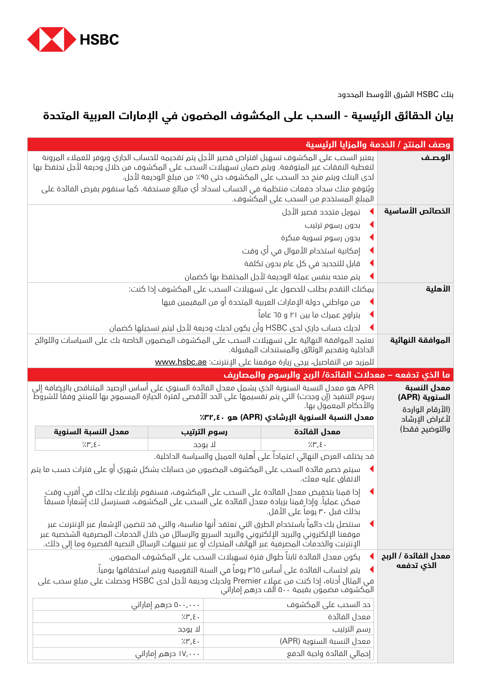

بنك HSBC الشرق األوسط المحدود

# **بيان الحقائق الرئيسية - السحب على المكشوف المضمون في اإلمارات العربية المتحدة**

| وصف المنتج / الخدمة والمزايا الرئيسية |                                                                                                                                                                                                                                                                                                            |                                         |                                           |  |
|---------------------------------------|------------------------------------------------------------------------------------------------------------------------------------------------------------------------------------------------------------------------------------------------------------------------------------------------------------|-----------------------------------------|-------------------------------------------|--|
| الوصف                                 | يعتبر السحب على المكشوف تسهيل اقتراض قصير الأجل يتم تقحيمه للحساب الجاري ويوفر للعملاء المرونة<br>لتغطية النفقات غير المتوقعة. ويتم ضمان تسهيلات السحب على المكشوف من خلال وديعة لأجل تحتفظ بها<br>لدى البنك ويتم منح حد السحب على المكشوف حتى ٩٥٪ من مبلغ الوديعة لأجل.                                   |                                         |                                           |  |
|                                       | ويُتوقع منك سداد حفعات منتظمة في الحساب لسداد أي مبالغ مستحقة. كما سنقوم بفرض الفائدة على<br>المبلغ المستخدم من السحب على المكشوف.                                                                                                                                                                         |                                         |                                           |  |
| الخصائص الأساسية                      | تمويل متجدد قصير الأجل                                                                                                                                                                                                                                                                                     |                                         |                                           |  |
|                                       | بدون رسوم ترتيب<br>◀                                                                                                                                                                                                                                                                                       |                                         |                                           |  |
|                                       | بدون رسوم تسوية مبكرة                                                                                                                                                                                                                                                                                      |                                         |                                           |  |
|                                       | إمكانية استخدام الأموال في أي وقت                                                                                                                                                                                                                                                                          |                                         |                                           |  |
|                                       | قابل للتجديد في كل عام بحون تكلفة                                                                                                                                                                                                                                                                          |                                         |                                           |  |
|                                       | يتم منحه بنفس عملة الوديعة لأجل المحتفظ بها كضمان                                                                                                                                                                                                                                                          |                                         |                                           |  |
| الأهلية                               | يمكنك التقدم بطلب للحصول على تسهيلات السحب على المكشوف إذا كنت:                                                                                                                                                                                                                                            |                                         |                                           |  |
|                                       | من مواطني دولة الإمارات العربية المتحدة أو من المقيمين فيها                                                                                                                                                                                                                                                |                                         |                                           |  |
|                                       | پتراوح عمرك ما بين ٢١ و ٦٥ عاماً                                                                                                                                                                                                                                                                           |                                         |                                           |  |
|                                       | لديك حساب جاري لدى HSBC وأن يكون لديك وديعة لأجل ليتم تسجيلها كضمان                                                                                                                                                                                                                                        |                                         |                                           |  |
| الموافقة النهائية                     | تعتمد الموافقة النهائية على تسهيلات السحب على المكشوف المضمون الخاصة بك على السياسات واللوائح<br>الداخلية وتقديم الوثائق والمستندات المقبولة.                                                                                                                                                              |                                         |                                           |  |
|                                       | للمزيد من التفاصيل، يرجى زيارة موقعنا على الإنترنت: <u>www.hsbc.ae</u>                                                                                                                                                                                                                                     |                                         |                                           |  |
|                                       | ما الذي تدفعه – معدلات الفائدة/ الربح والرسوم والمصاريف                                                                                                                                                                                                                                                    |                                         |                                           |  |
| معدل النسبة<br>السنوية (APR)          | APR هو معدل النسبة السنوية الذي يشمل معدل الفائدة السنوي على أساس الرصيد المتناقص بالإضافة إلى<br>رسوم التنفيذ (إن وجدت) التي يتم تقسيمها على الحد الأقصى لفترة الحيازة المسموح بها للمنتج وفقًا للشروط                                                                                                    |                                         |                                           |  |
|                                       |                                                                                                                                                                                                                                                                                                            |                                         |                                           |  |
| (الأرقام الواردة                      | والأحكام المعمول بها.<br>معدل النسبة السنوية الإرشادي (APR) هو ٣٢,٤٠٪                                                                                                                                                                                                                                      |                                         |                                           |  |
| لأغراض الإرشاد<br>والتوضيح فقط)       |                                                                                                                                                                                                                                                                                                            |                                         |                                           |  |
|                                       | رسوم الترتيب<br>معدل الفائدة<br>$7.1$ ", $\xi$ .<br>لا يوجد                                                                                                                                                                                                                                                |                                         | معدل النسبة السنوية<br>$7.1^{\circ}$ , E. |  |
|                                       | قد يختلف العرض النهائي اعتماداً على أهلية العميل والسياسة الداخلية.                                                                                                                                                                                                                                        |                                         |                                           |  |
|                                       | سيتم خصم فائدة السحب على المكشوف المضمون من حسابك بشكل شهري أو على فترات حسب ما يتم<br>الاتفاق عليه معك.                                                                                                                                                                                                   |                                         |                                           |  |
|                                       | إذا قمنا بتخفيض معدل الفائدة على السحب على المكشوف، فسنقوم بإبلاغك بذلك فى أقربٍ وقتٍ<br>ممكن عمليا. وإذا ِقمنا بزيادة معدل الفائدة على السحب على المكشوف، فسنرسل لك إُشعارا مسبقا<br>بخلك قبل ٣٠ يوما على الأقل.                                                                                          |                                         |                                           |  |
|                                       | سنتصل بك دائماً باستخدام الطرق التي نعتقد أنها مناسبة، والتي قد تتضمن الإشعار عبر الإنترنت عبر<br>موقعنا الإلكتروني والبريد الإلكتروني والبريد السريع والرسائل من خلال الخدمات المصرفية الشخصية عبر<br>الإنترنت والخدماتُ المصرفية عبر الهَّاتف المتحرك أو عبر تنبيهات الرسائل النصية القصيرة وما إلى ذلك. |                                         |                                           |  |
| معدل الفائدة / الربح                  | يكون معدل الفائدة ثابتاً طوال فترة تسهيلات السحب على المكشوف المضمون.                                                                                                                                                                                                                                      |                                         |                                           |  |
| الذي تدفعه                            | يتم احتساب الفائدة على أساس ٣٦٥ يوما في السنة التقويمية ويتم استحقاقها يوميا.                                                                                                                                                                                                                              |                                         |                                           |  |
|                                       | في المثال أدناه، إذا كنت من عمِلاء Premier ولديك وديعة لأجل لدى HSBC وحصلت على مبلغ سحب على<br>المكشوف مضمون بقيمة ٥٠٠ ألف درهم إماراتي                                                                                                                                                                    |                                         |                                           |  |
|                                       | حد السحب على المكشوف                                                                                                                                                                                                                                                                                       | ۵۰۰٫۰۰۰ درهم إماراتی                    |                                           |  |
|                                       | معدل الفائدة                                                                                                                                                                                                                                                                                               | $7.1$ ", $5.4$                          |                                           |  |
|                                       | رسم الترتيب                                                                                                                                                                                                                                                                                                | لا يوجد                                 |                                           |  |
|                                       | معدل النسبة السنوية (APR)<br>إجمالي الفائدة واجبة الدفع                                                                                                                                                                                                                                                    | $7.1$ ", $\xi$ .<br>۱۷٬۰۰۰ درهم إماراتی |                                           |  |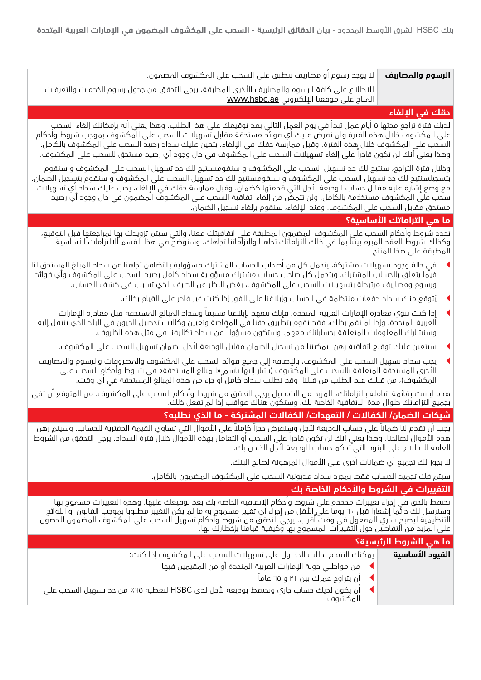ال يوجد رسوم أو مصاريف تنطبق على السحب على المكشوف المضمون.

لالطالع على كافة الرسوم والمصاريف األخرى المطبقة، يرجى التحقق من جدول رسوم الخدمات والتعرفات المتاح على موقعنا الإلكتروني <u>www.hsbc.ae</u>

## **حقك في اإللغاء**

لديك فترة تراجع مدتها 5 أيام عمل تبدأ في يوم العمل التالي بعد توقيعك على هذا الطلب. وهذا يعني أنه بإمكانك إلغاء السحب على المكشوف خالل هذه الفترة ولن نفرض عليك أي فوائد مستحقة مقابل تسهيالت السحب على المكشوف بموجب شروط وأحكام السحب على المكشوف خلال هذه الفترة. وقبل ممارسة حقك في الإلغاء، يتعين عليك سحاد رصيد السحب على المكشوف بالكامل. وهذا يعني أنك لن تكون قادراً على إلغاء تسهيالت السحب على المكشوف في حال وجود أي رصيد مستحق للسحب على المكشوف.

وخالل فترة التراجع، سنتيح لك حد تسهيل السحب علي المكشوف و سنقومسنتيح لك حد تسهيل السحب علي المكشوف و سنقوم بتسجيلسنتيح لك حد تسهيل السحب علي المكشوف و سنقومسنتيح لك حد تسهيل السحب علي المكشوف و سنقوم بتسجيل الضمان، مع وضع إشارة عليه مقابل حساب الوديعة ألجل التي قدمتها كضمان. وقبل ممارسة حقك في اإللغاء، يجب عليك سداد أي تسهيالت َ سحب على المكشوف مستخدمة بالكامل. ولن تتمكن من إلغاء اتفاقية السحب على المكشوف المضمون في حال وجود أي رصيد مستحق مقابل السحب على المكشوف. وعند اإللغاء، سنقوم بإلغاء تسجيل الضمان.

### **ما هي التزاماتك األساسية؟**

تحدد شروط وأحكام السحب على المكشوف المضمون المطبقة على اتفاقيتك معنا، والتي سيتم تزويدك بها لمراجعتها قبل التوقيع، وكذلك شروط العقد المبرم بيننا بما في ذلك التزاماتك تجاهنا والتزاماتنا تجاهك. وسنوضح في هذا القسم االلتزامات األساسية المطبقة على هذا المنتج.

- <sup>t</sup> في حالة وجود تسهيالت مشتركة، يتحمل كل من أصحاب الحساب المشترك مسؤولية بالتضامن تجاهنا عن سداد المبلغ المستحق لنا فيما يتعلق بالحساب المشترك. ويتحمل كل صاحب حساب مشترك مسؤولية سداد كامل رصيد السحب على المكشوف وأي فوائد ورسوم ومصاريف مرتبطة بتسهيالت السحب على المكشوف، بغض النظر عن الطرف الذي تسبب في كشف الحساب.
	- <sup>t</sup> ُيتوقع منك سداد دفعات منتظمة في الحساب وإبالغنا على الفور إذا كنت غير قادر على القيام بذلك.
	- إذا كنت تنوي مغادرة الإمارات العربية المتحدة، فإنك تتعهد بإبلاغنا مسبقاً وسداد المبالغ المستحقة قبل مغادرة الإمارات العربية المتحدة. وإذا لم تقم بذلك، فقد نقوم بتطبيق حقنا في المقاصة وتعيين وكاالت تحصيل الديون في البلد الذي تنتقل إليه ً وسنشارك المعلومات المتعلقة بحساباتك معهم. وستكون مسؤوال عن سداد تكاليفنا في مثل هذه الظروف.
		- <sup>t</sup> سيتعين عليك توقيع اتفاقية رهن لتمكيننا من تسجيل الضمان مقابل الوديعة ألجل لضمان تسهيل السحب على المكشوف.
	- يجب سداد تسهيل السحب على المكشوف، بالإضافة إلى جميع فوائد السحب على المكشوف والمصروفات والرسوم والمصاريف الأخرى المستحقة المتعلقة بالسحب على المكشوف (يشار إليها باسم «المبالغ المستحقة» في شروط وأحكام السحب على المكشوف)، من قبلك عند الطلب من قبلنا. وقد نطلب سداد كامل أو جزء من هذه المبالغ المستحقة في أي وقت.

هذه ليست بقائمة شاملة بالتزاماتك، للمزيد من التفاصيل يرجى التحقق من شروط وأحكام السحب على المكشوف. من المتوقع أن تفي بجميع التزاماتك طوال مدة االتفاقية الخاصة بك. وستكون هناك عواقب إذا لم تفعل ذلك.

## **شيكات الضمان/ الكفاالت / التعهدات/ الكفاالت المشتركة - ما الذي نطلبه؟**

يجب أن تقدم لنا ضماناً على حساب الوديعة لأجل وسنفرض حجزاً كاملاً على الأموال التي تساوي القيمة الدفترية للحساب. وسيتم رهن هذه الأموال لصالحنا. وهذا يعني أنك لن تكون قادراً على السحب أو التعامل بهذه الأموال خلال فترة السداد. يرجى التحقق من الشروط العامة للاطلاع على البنود التي تحكم حساب الوديعة لأجل الخاص بك.

ال يجوز لك تجميع أي ضمانات أخرى على األموال المرهونة لصالح البنك.

سيتم فك تجميد الحساب فقط بمجرد سداد مديونية السحب على المكشوف المضمون بالكامل.

#### **التغييرات في الشروط واألحكام الخاصة بك**

نحتفظ بالحق في إجراء تغييرات محددة على شروط وأحكام االتفاقية الخاصة بك بعد توقيعك عليها. وهذه التغييرات مسموح بها. وسنرسل لك دائماً إشعاراً قبل ٦٠ يوماً على الأقل من إجراء أي تغيير مسموح به ما لم يكن التغيير مطلوباً بموجب القانون أو اللوائح التنظيمية ليصبح ساري المفعول في وقت أقرب. يرجى التحقق من شروط وأحكام تسهيل السحب على المكشوف المضمون للحصول على المزيد من التفاصيل حول التغييرات المسموح بها وكيفية قيامنا بإخطارك بها.

#### **ما هي الشروط الرئيسية؟**

| يمكنك التقدم بطلب الحصول على تسهيلات السحب على المكشوف إذا كنت:                     | القىود الأساسية |
|-------------------------------------------------------------------------------------|-----------------|
| من مواطني حولة الإمارات العربية المتحدة أو من المقيمين فيها                         |                 |
| ▶     أن يتراوح عمرك بين ٢١ و ٦٥ عاماً                                              |                 |
| أن يكون لديك حساب جاري وتحتفظ بوديعة لأجل لدي HSBC لتغطية ٩٥٪ من حد تسهيل السحب علي |                 |
| المكشەف                                                                             |                 |